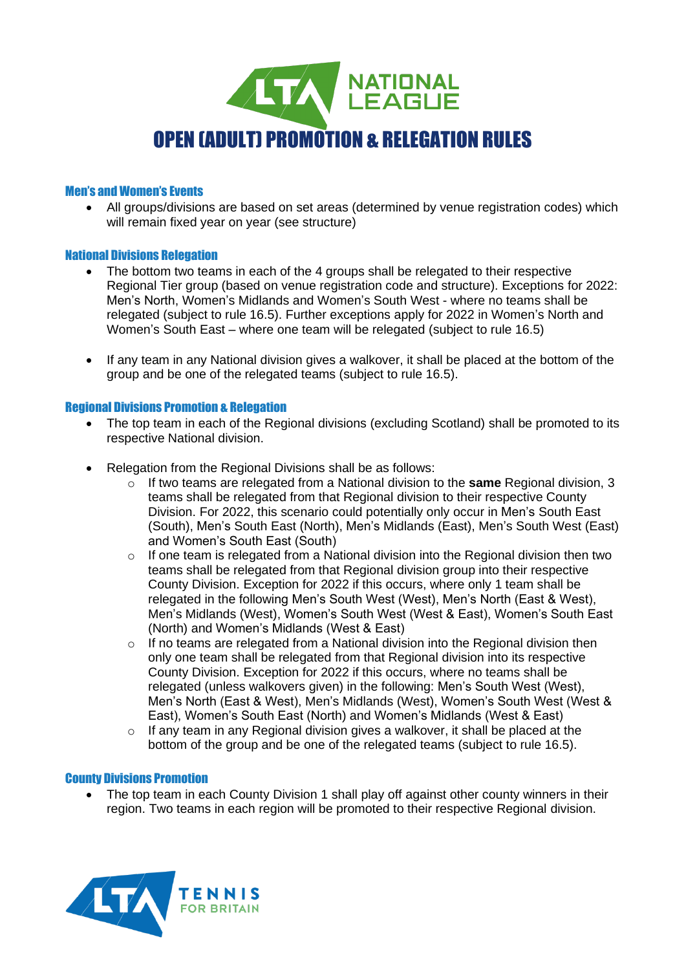

# Men's and Women's Events

• All groups/divisions are based on set areas (determined by venue registration codes) which will remain fixed year on year (see structure)

## National Divisions Relegation

- The bottom two teams in each of the 4 groups shall be relegated to their respective Regional Tier group (based on venue registration code and structure). Exceptions for 2022: Men's North, Women's Midlands and Women's South West - where no teams shall be relegated (subject to rule 16.5). Further exceptions apply for 2022 in Women's North and Women's South East – where one team will be relegated (subject to rule 16.5)
- If any team in any National division gives a walkover, it shall be placed at the bottom of the group and be one of the relegated teams (subject to rule 16.5).

## Regional Divisions Promotion & Relegation

- The top team in each of the Regional divisions (excluding Scotland) shall be promoted to its respective National division.
- Relegation from the Regional Divisions shall be as follows:
	- o If two teams are relegated from a National division to the **same** Regional division, 3 teams shall be relegated from that Regional division to their respective County Division. For 2022, this scenario could potentially only occur in Men's South East (South), Men's South East (North), Men's Midlands (East), Men's South West (East) and Women's South East (South)
	- o If one team is relegated from a National division into the Regional division then two teams shall be relegated from that Regional division group into their respective County Division. Exception for 2022 if this occurs, where only 1 team shall be relegated in the following Men's South West (West), Men's North (East & West), Men's Midlands (West), Women's South West (West & East), Women's South East (North) and Women's Midlands (West & East)
	- $\circ$  If no teams are relegated from a National division into the Regional division then only one team shall be relegated from that Regional division into its respective County Division. Exception for 2022 if this occurs, where no teams shall be relegated (unless walkovers given) in the following: Men's South West (West), Men's North (East & West), Men's Midlands (West), Women's South West (West & East), Women's South East (North) and Women's Midlands (West & East)
	- $\circ$  If any team in any Regional division gives a walkover, it shall be placed at the bottom of the group and be one of the relegated teams (subject to rule 16.5).

### County Divisions Promotion

The top team in each County Division 1 shall play off against other county winners in their region. Two teams in each region will be promoted to their respective Regional division.